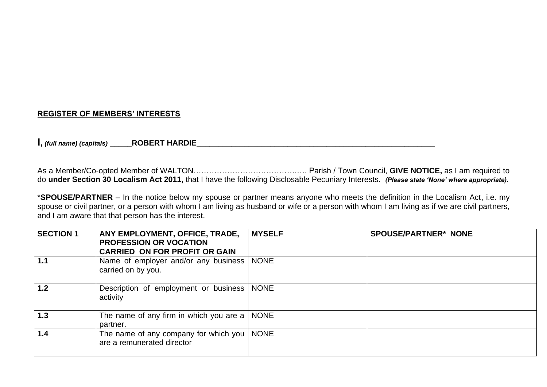# **REGISTER OF MEMBERS' INTERESTS**

**I,** *(full name) (capitals)* **\_\_\_\_\_ROBERT HARDIE\_\_\_\_\_\_\_\_\_\_\_\_\_\_\_\_\_\_\_\_\_\_\_\_\_\_\_\_\_\_\_\_\_\_\_\_\_\_\_\_\_\_\_\_\_\_\_\_\_\_\_\_\_\_\_**

As a Member/Co-opted Member of WALTON………………………………….…. Parish / Town Council, **GIVE NOTICE,** as I am required to do **under Section 30 Localism Act 2011,** that I have the following Disclosable Pecuniary Interests. *(Please state 'None' where appropriate).*

\***SPOUSE/PARTNER** – In the notice below my spouse or partner means anyone who meets the definition in the Localism Act, i.e. my spouse or civil partner, or a person with whom I am living as husband or wife or a person with whom I am living as if we are civil partners, and I am aware that that person has the interest.

| <b>SECTION 1</b> | ANY EMPLOYMENT, OFFICE, TRADE,<br><b>PROFESSION OR VOCATION</b><br><b>CARRIED ON FOR PROFIT OR GAIN</b> | <b>MYSELF</b> | <b>SPOUSE/PARTNER* NONE</b> |
|------------------|---------------------------------------------------------------------------------------------------------|---------------|-----------------------------|
| 1.1              | Name of employer and/or any business<br>carried on by you.                                              | <b>NONE</b>   |                             |
| 1.2              | Description of employment or business<br>activity                                                       | <b>NONE</b>   |                             |
| 1.3              | The name of any firm in which you are a $\vert$<br>partner.                                             | <b>NONE</b>   |                             |
| 1.4              | The name of any company for which you  <br>are a remunerated director                                   | <b>NONE</b>   |                             |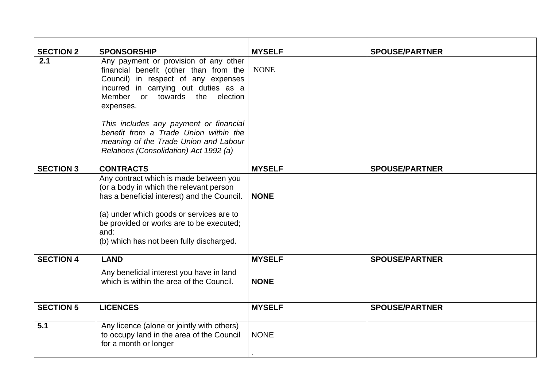| <b>SECTION 2</b> | <b>SPONSORSHIP</b>                                                                                                                                                                                                                                                           | <b>MYSELF</b> | <b>SPOUSE/PARTNER</b> |
|------------------|------------------------------------------------------------------------------------------------------------------------------------------------------------------------------------------------------------------------------------------------------------------------------|---------------|-----------------------|
| 2.1              | Any payment or provision of any other<br>financial benefit (other than from the<br>Council) in respect of any expenses<br>incurred in carrying out duties as a<br>Member or towards the<br>election<br>expenses.                                                             | <b>NONE</b>   |                       |
|                  | This includes any payment or financial<br>benefit from a Trade Union within the<br>meaning of the Trade Union and Labour<br>Relations (Consolidation) Act 1992 (a)                                                                                                           |               |                       |
| <b>SECTION 3</b> | <b>CONTRACTS</b>                                                                                                                                                                                                                                                             | <b>MYSELF</b> | <b>SPOUSE/PARTNER</b> |
|                  | Any contract which is made between you<br>(or a body in which the relevant person<br>has a beneficial interest) and the Council.<br>(a) under which goods or services are to<br>be provided or works are to be executed;<br>and:<br>(b) which has not been fully discharged. | <b>NONE</b>   |                       |
| <b>SECTION 4</b> | <b>LAND</b>                                                                                                                                                                                                                                                                  | <b>MYSELF</b> | <b>SPOUSE/PARTNER</b> |
|                  | Any beneficial interest you have in land<br>which is within the area of the Council.                                                                                                                                                                                         | <b>NONE</b>   |                       |
| <b>SECTION 5</b> | <b>LICENCES</b>                                                                                                                                                                                                                                                              | <b>MYSELF</b> | <b>SPOUSE/PARTNER</b> |
| 5.1              | Any licence (alone or jointly with others)<br>to occupy land in the area of the Council<br>for a month or longer                                                                                                                                                             | <b>NONE</b>   |                       |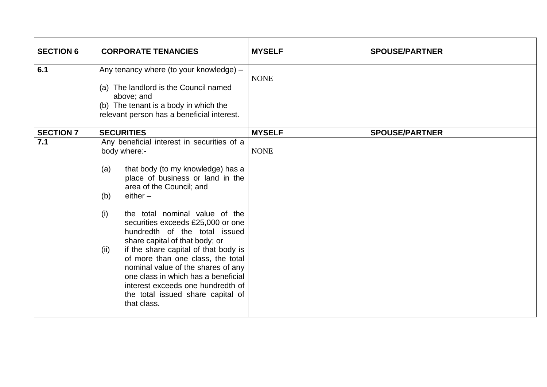| <b>SECTION 6</b> | <b>CORPORATE TENANCIES</b>                                                                                                                                                                                                                                                                                                                                                                                                                                                                                                                                                                              | <b>MYSELF</b> | <b>SPOUSE/PARTNER</b> |
|------------------|---------------------------------------------------------------------------------------------------------------------------------------------------------------------------------------------------------------------------------------------------------------------------------------------------------------------------------------------------------------------------------------------------------------------------------------------------------------------------------------------------------------------------------------------------------------------------------------------------------|---------------|-----------------------|
| 6.1              | Any tenancy where (to your knowledge) -<br>(a) The landlord is the Council named<br>above; and<br>(b) The tenant is a body in which the<br>relevant person has a beneficial interest.                                                                                                                                                                                                                                                                                                                                                                                                                   | <b>NONE</b>   |                       |
| <b>SECTION 7</b> | <b>SECURITIES</b>                                                                                                                                                                                                                                                                                                                                                                                                                                                                                                                                                                                       | <b>MYSELF</b> | <b>SPOUSE/PARTNER</b> |
| 7.1              | Any beneficial interest in securities of a<br>body where:-<br>that body (to my knowledge) has a<br>(a)<br>place of business or land in the<br>area of the Council; and<br>$either -$<br>(b)<br>the total nominal value of the<br>(i)<br>securities exceeds £25,000 or one<br>hundredth of the total issued<br>share capital of that body; or<br>if the share capital of that body is<br>(ii)<br>of more than one class, the total<br>nominal value of the shares of any<br>one class in which has a beneficial<br>interest exceeds one hundredth of<br>the total issued share capital of<br>that class. | <b>NONE</b>   |                       |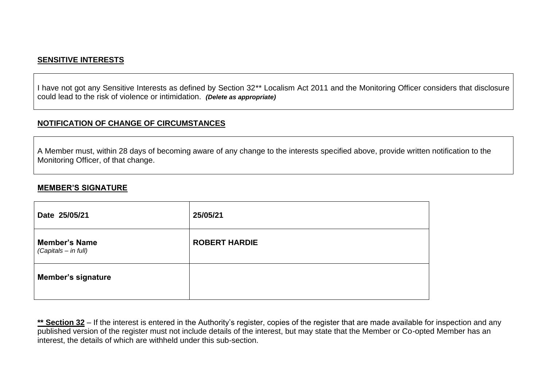## **SENSITIVE INTERESTS**

I have not got any Sensitive Interests as defined by Section 32\*\* Localism Act 2011 and the Monitoring Officer considers that disclosure could lead to the risk of violence or intimidation. *(Delete as appropriate)*

#### **NOTIFICATION OF CHANGE OF CIRCUMSTANCES**

A Member must, within 28 days of becoming aware of any change to the interests specified above, provide written notification to the Monitoring Officer, of that change.

#### **MEMBER'S SIGNATURE**

| Date 25/05/21                                | 25/05/21             |
|----------------------------------------------|----------------------|
| <b>Member's Name</b><br>(Capitals - in full) | <b>ROBERT HARDIE</b> |
| <b>Member's signature</b>                    |                      |

\*\* Section 32 – If the interest is entered in the Authority's register, copies of the register that are made available for inspection and any published version of the register must not include details of the interest, but may state that the Member or Co-opted Member has an interest, the details of which are withheld under this sub-section.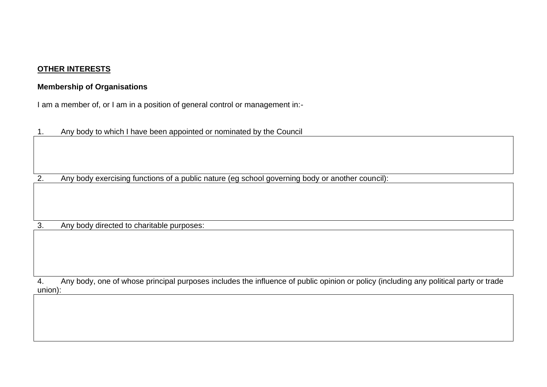# **OTHER INTERESTS**

#### **Membership of Organisations**

I am a member of, or I am in a position of general control or management in:-

1. Any body to which I have been appointed or nominated by the Council

2. Any body exercising functions of a public nature (eg school governing body or another council):

3. Any body directed to charitable purposes:

4. Any body, one of whose principal purposes includes the influence of public opinion or policy (including any political party or trade union):